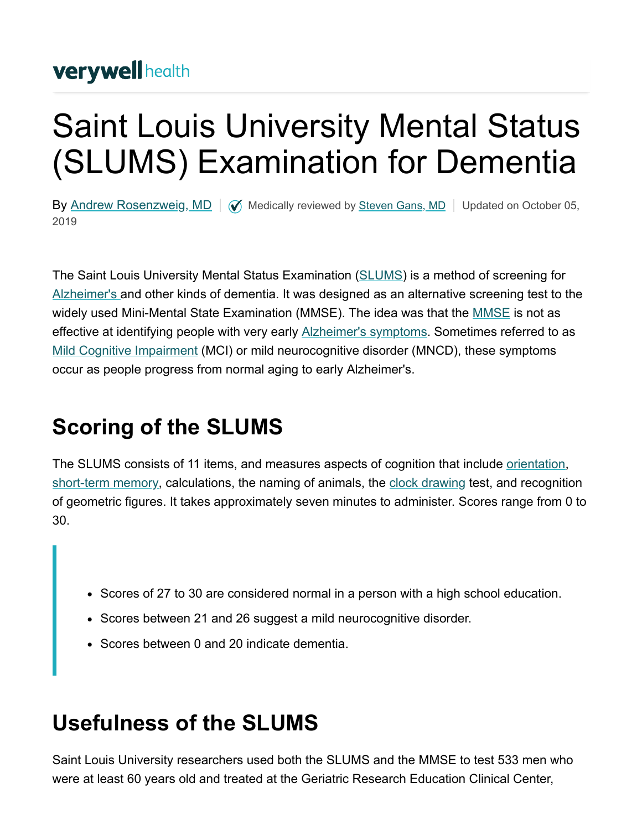### **verywell health**

# Saint Louis University Mental Status (SLUMS) Examination for Dementia

By [Andrew Rosenzweig, MD](https://www.verywellhealth.com/andrew-rosenzweig-md-97403)  $\Box$   $\Diamond$  Medically reviewed by [Steven Gans, MD](https://www.verywellhealth.com/steven-gans-md-4685030)  $\Box$  Updated on October 05, 2019

The Saint Louis University Mental Status Examination ([SLUMS\)](http://medschool.slu.edu/agingsuccessfully/pdfsurveys/slumsexam_05.pdf) is a method of screening for [Alzheimer's a](https://www.verywellhealth.com/alzheimers-overview-4014762)nd other kinds of dementia. It was designed as an alternative screening test to the widely used Mini-Mental State Examination (MMSE). The idea was that the **MMSE** is not as effective at identifying people with very early **Alzheimer's symptoms**. Sometimes referred to as [Mild Cognitive Impairment](https://www.verywellhealth.com/mild-cognitive-impairment-and-alzheimers-disease-98561) (MCI) or mild neurocognitive disorder (MNCD), these symptoms occur as people progress from normal aging to early Alzheimer's.

## **Scoring of the SLUMS**

The SLUMS consists of 11 items, and measures aspects of cognition that include *[orientation](https://www.verywellhealth.com/what-is-orientation-and-how-is-it-affected-by-dementia-98571)*, [short-term memory](https://www.verywellhealth.com/short-term-memory-affected-by-alzheimers-98569), calculations, the naming of animals, the [clock drawing](https://www.verywellhealth.com/the-clock-drawing-test-98619) test, and recognition of geometric figures. It takes approximately seven minutes to administer. Scores range from 0 to 30.

- Scores of 27 to 30 are considered normal in a person with a high school education.
- Scores between 21 and 26 suggest a mild neurocognitive disorder.
- Scores between 0 and 20 indicate dementia.

### **Usefulness of the SLUMS**

Saint Louis University researchers used both the SLUMS and the MMSE to test 533 men who were at least 60 years old and treated at the Geriatric Research Education Clinical Center,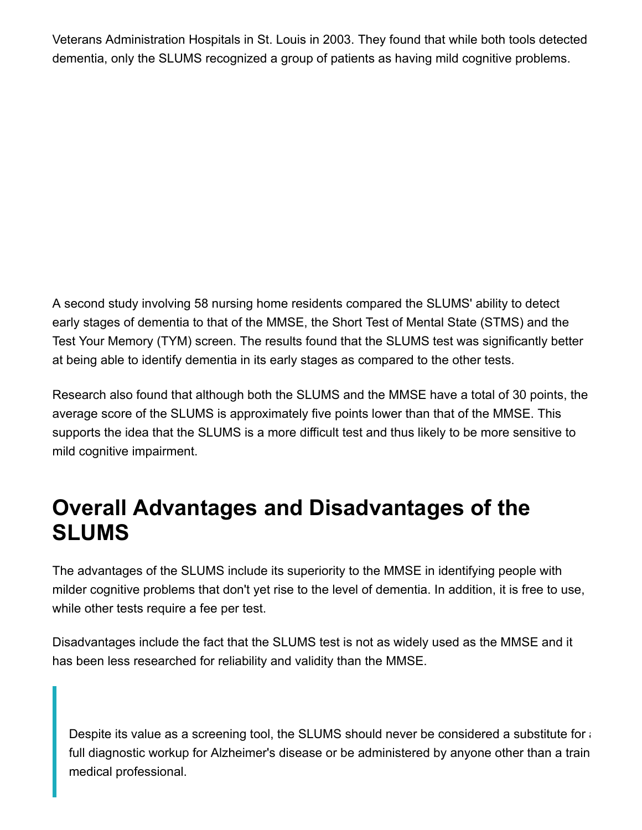Veterans Administration Hospitals in St. Louis in 2003. They found that while both tools detected dementia, only the SLUMS recognized a group of patients as having mild cognitive problems.

A second study involving 58 nursing home residents compared the SLUMS' ability to detect early stages of dementia to that of the MMSE, the Short Test of Mental State (STMS) and the Test Your Memory (TYM) screen. The results found that the SLUMS test was significantly better at being able to identify dementia in its early stages as compared to the other tests.

Research also found that although both the SLUMS and the MMSE have a total of 30 points, the average score of the SLUMS is approximately five points lower than that of the MMSE. This supports the idea that the SLUMS is a more difficult test and thus likely to be more sensitive to mild cognitive impairment.

#### **Overall Advantages and Disadvantages of the SLUMS**

The advantages of the SLUMS include its superiority to the MMSE in identifying people with milder cognitive problems that don't yet rise to the level of dementia. In addition, it is free to use, while other tests require a fee per test.

Disadvantages include the fact that the SLUMS test is not as widely used as the MMSE and it has been less researched for reliability and validity than the MMSE.

Despite its value as a screening tool, the SLUMS should never be considered a substitute for a full diagnostic workup for Alzheimer's disease or be administered by anyone other than a train medical professional.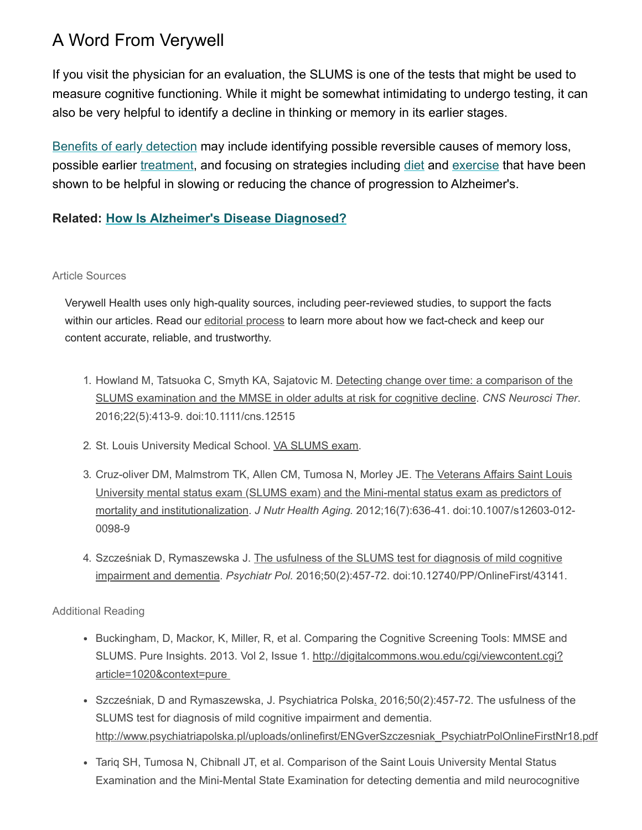#### A Word From Verywell

If you visit the physician for an evaluation, the SLUMS is one of the tests that might be used to measure cognitive functioning. While it might be somewhat intimidating to undergo testing, it can also be very helpful to identify a decline in thinking or memory in its earlier stages.

[Benefits of early detection](https://www.verywellhealth.com/12-benefits-of-early-detection-in-alzheimers-disease-98046) may include identifying possible reversible causes of memory loss, possible earlier [treatment,](https://www.verywellhealth.com/alzheimers-treatment-4014202) and focusing on strategies including [diet](https://www.verywellhealth.com/foods-that-reduce-dementia-risk-98464) and [exercise](https://www.verywellhealth.com/alzheimers-prevention-4014142) that have been shown to be helpful in slowing or reducing the chance of progression to Alzheimer's.

#### **Related: [How Is Alzheimer's Disease Diagnosed?](https://www.verywellhealth.com/alzheimers-diagnosis-98044)**

#### Article Sources

Verywell Health uses only high-quality sources, including peer-reviewed studies, to support the facts within our articles. Read our [editorial process](https://www.verywellhealth.com/verywell-editorial-process-4777042) to learn more about how we fact-check and keep our content accurate, reliable, and trustworthy.

- 1. [Howland M, Tatsuoka C, Smyth KA, Sajatovic M. Detecting change over time: a comparison of the](https://doi.org/10.1111/cns.12515) SLUMS examination and the MMSE in older adults at risk for cognitive decline. *CNS Neurosci Ther*. 2016;22(5):413-9. doi:10.1111/cns.12515
- 2. St. Louis University Medical School. [VA SLUMS exam.](http://medschool.slu.edu/agingsuccessfully/pdfsurveys/slumsexam_05.pdf)
- 3. [Cruz-oliver DM, Malmstrom TK, Allen CM, Tumosa N, Morley JE. The Veterans Affairs Saint Louis](https://doi.org/10.1007/s12603-012-0098-9) University mental status exam (SLUMS exam) and the Mini-mental status exam as predictors of mortality and institutionalization. *J Nutr Health Aging.* 2012;16(7):636-41. doi:10.1007/s12603-012- 0098-9
- 4. [Szcześniak D, Rymaszewska J. The usfulness of the SLUMS test for diagnosis of mild cognitive](http://doi.org/10.12740/PP/OnlineFirst/43141) impairment and dementia. *Psychiatr Pol.* 2016;50(2):457-72. doi:10.12740/PP/OnlineFirst/43141.

Additional Reading

- Buckingham, D, Mackor, K, Miller, R, et al. Comparing the Cognitive Screening Tools: MMSE and [SLUMS. Pure Insights. 2013. Vol 2, Issue 1. http://digitalcommons.wou.edu/cgi/viewcontent.cgi?](http://digitalcommons.wou.edu/cgi/viewcontent.cgi?article=1020&context=pure) article=1020&context=pure
- Szcześniak, D and Rymaszewska, J[.](https://www.ncbi.nlm.nih.gov/pubmed/27288688#) Psychiatrica Polska, 2016;50(2):457-72. The usfulness of the SLUMS test for diagnosis of mild cognitive impairment and dementia. [http://www.psychiatriapolska.pl/uploads/onlinefirst/ENGverSzczesniak\\_PsychiatrPolOnlineFirstNr18.pdf](http://www.psychiatriapolska.pl/uploads/onlinefirst/ENGverSzczesniak_PsychiatrPolOnlineFirstNr18.pdf)
- Tariq SH, Tumosa N, Chibnall JT, et al. Comparison of the Saint Louis University Mental Status Examination and the Mini-Mental State Examination for detecting dementia and mild neurocognitive